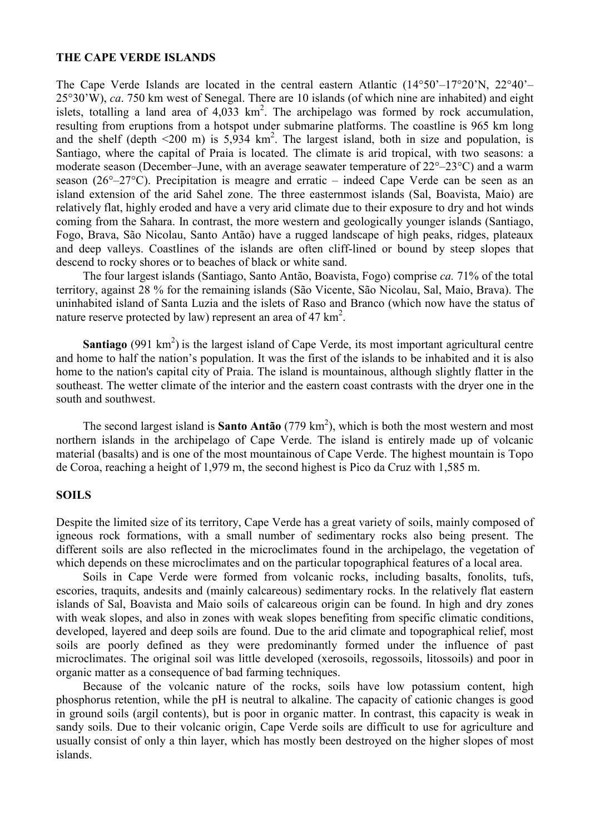### **THE CAPE VERDE ISLANDS**

The Cape Verde Islands are located in the central eastern Atlantic  $(14^{\circ}50^{\circ}-17^{\circ}20^{\circ}N, 22^{\circ}40^{\circ}-17^{\circ}N)$ 25°30'W), *ca*. 750 km west of Senegal. There are 10 islands (of which nine are inhabited) and eight islets, totalling a land area of  $4.033 \text{ km}^2$ . The archipelago was formed by rock accumulation, resulting from eruptions from a hotspot under submarine platforms. The coastline is 965 km long and the shelf (depth  $\leq 200$  m) is 5,934 km<sup>2</sup>. The largest island, both in size and population, is Santiago, where the capital of Praia is located. The climate is arid tropical, with two seasons: a moderate season (December–June, with an average seawater temperature of 22°–23°C) and a warm season (26°–27°C). Precipitation is meagre and erratic – indeed Cape Verde can be seen as an island extension of the arid Sahel zone. The three easternmost islands (Sal, Boavista, Maio) are relatively flat, highly eroded and have a very arid climate due to their exposure to dry and hot winds coming from the Sahara. In contrast, the more western and geologically younger islands (Santiago, Fogo, Brava, São Nicolau, Santo Antão) have a rugged landscape of high peaks, ridges, plateaux and deep valleys. Coastlines of the islands are often cliff-lined or bound by steep slopes that descend to rocky shores or to beaches of black or white sand.

The four largest islands (Santiago, Santo Antão, Boavista, Fogo) comprise *ca.* 71% of the total territory, against 28 % for the remaining islands (São Vicente, São Nicolau, Sal, Maio, Brava). The uninhabited island of Santa Luzia and the islets of Raso and Branco (which now have the status of nature reserve protected by law) represent an area of  $47 \text{ km}^2$ .

**Santiago** (991 km<sup>2</sup>) is the largest island of Cape Verde, its most important agricultural centre and home to half the nation's population. It was the first of the islands to be inhabited and it is also home to the nation's capital city of Praia. The island is mountainous, although slightly flatter in the southeast. The wetter climate of the interior and the eastern coast contrasts with the dryer one in the south and southwest.

The second largest island is **Santo Antão**  $(779 \text{ km}^2)$ , which is both the most western and most northern islands in the archipelago of Cape Verde. The island is entirely made up of volcanic material (basalts) and is one of the most mountainous of Cape Verde. The highest mountain is Topo de Coroa, reaching a height of 1,979 m, the second highest is Pico da Cruz with 1,585 m.

# **SOILS**

Despite the limited size of its territory, Cape Verde has a great variety of soils, mainly composed of igneous rock formations, with a small number of sedimentary rocks also being present. The different soils are also reflected in the microclimates found in the archipelago, the vegetation of which depends on these microclimates and on the particular topographical features of a local area.

Soils in Cape Verde were formed from volcanic rocks, including basalts, fonolits, tufs, escories, traquits, andesits and (mainly calcareous) sedimentary rocks. In the relatively flat eastern islands of Sal, Boavista and Maio soils of calcareous origin can be found. In high and dry zones with weak slopes, and also in zones with weak slopes benefiting from specific climatic conditions, developed, layered and deep soils are found. Due to the arid climate and topographical relief, most soils are poorly defined as they were predominantly formed under the influence of past microclimates. The original soil was little developed (xerosoils, regossoils, litossoils) and poor in organic matter as a consequence of bad farming techniques.

Because of the volcanic nature of the rocks, soils have low potassium content, high phosphorus retention, while the pH is neutral to alkaline. The capacity of cationic changes is good in ground soils (argil contents), but is poor in organic matter. In contrast, this capacity is weak in sandy soils. Due to their volcanic origin, Cape Verde soils are difficult to use for agriculture and usually consist of only a thin layer, which has mostly been destroyed on the higher slopes of most islands.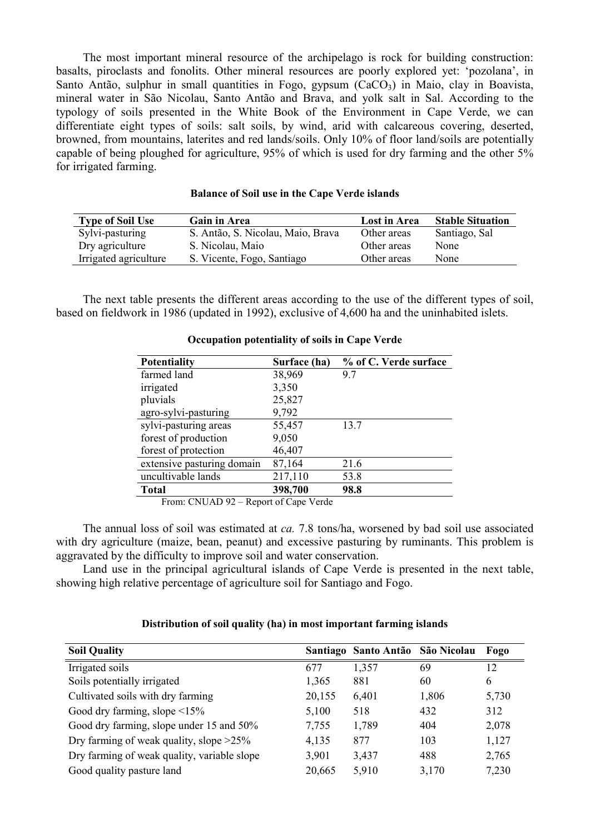The most important mineral resource of the archipelago is rock for building construction: basalts, piroclasts and fonolits. Other mineral resources are poorly explored yet: 'pozolana', in Santo Antão, sulphur in small quantities in Fogo, gypsum  $(CaCO<sub>3</sub>)$  in Maio, clay in Boavista, mineral water in São Nicolau, Santo Antão and Brava, and yolk salt in Sal. According to the typology of soils presented in the White Book of the Environment in Cape Verde, we can differentiate eight types of soils: salt soils, by wind, arid with calcareous covering, deserted, browned, from mountains, laterites and red lands/soils. Only 10% of floor land/soils are potentially capable of being ploughed for agriculture, 95% of which is used for dry farming and the other 5% for irrigated farming.

| <b>Type of Soil Use</b> | <b>Gain in Area</b>               | Lost in Area | <b>Stable Situation</b> |
|-------------------------|-----------------------------------|--------------|-------------------------|
| Sylvi-pasturing         | S. Antão, S. Nicolau, Maio, Brava | Other areas  | Santiago, Sal           |
| Dry agriculture         | S. Nicolau, Maio                  | Other areas  | None                    |
| Irrigated agriculture   | S. Vicente, Fogo, Santiago        | Other areas  | None                    |

### **Balance of Soil use in the Cape Verde islands**

The next table presents the different areas according to the use of the different types of soil, based on fieldwork in 1986 (updated in 1992), exclusive of 4,600 ha and the uninhabited islets.

| <b>Potentiality</b>        | Surface (ha) | % of C. Verde surface |
|----------------------------|--------------|-----------------------|
| farmed land                | 38,969       | 9.7                   |
| irrigated                  | 3,350        |                       |
| pluvials                   | 25,827       |                       |
| agro-sylvi-pasturing       | 9,792        |                       |
| sylvi-pasturing areas      | 55,457       | 13.7                  |
| forest of production       | 9,050        |                       |
| forest of protection       | 46,407       |                       |
| extensive pasturing domain | 87,164       | 21.6                  |
| uncultivable lands         | 217,110      | 53.8                  |
| <b>Total</b>               | 398,700      | 98.8                  |

### **Occupation potentiality of soils in Cape Verde**

From: CNUAD 92 – Report of Cape Verde

The annual loss of soil was estimated at *ca.* 7.8 tons/ha, worsened by bad soil use associated with dry agriculture (maize, bean, peanut) and excessive pasturing by ruminants. This problem is aggravated by the difficulty to improve soil and water conservation.

Land use in the principal agricultural islands of Cape Verde is presented in the next table, showing high relative percentage of agriculture soil for Santiago and Fogo.

# **Distribution of soil quality (ha) in most important farming islands**

| <b>Soil Quality</b>                         |        | Santiago Santo Antão São Nicolau |       | Fogo  |
|---------------------------------------------|--------|----------------------------------|-------|-------|
| Irrigated soils                             | 677    | 1,357                            | 69    | 12    |
| Soils potentially irrigated                 | 1,365  | 881                              | 60    | 6     |
| Cultivated soils with dry farming           | 20,155 | 6,401                            | 1,806 | 5,730 |
| Good dry farming, slope $\leq 15\%$         | 5,100  | 518                              | 432   | 312   |
| Good dry farming, slope under 15 and 50%    | 7,755  | 1,789                            | 404   | 2,078 |
| Dry farming of weak quality, slope $>25\%$  | 4,135  | 877                              | 103   | 1,127 |
| Dry farming of weak quality, variable slope | 3,901  | 3,437                            | 488   | 2,765 |
| Good quality pasture land                   | 20,665 | 5,910                            | 3,170 | 7,230 |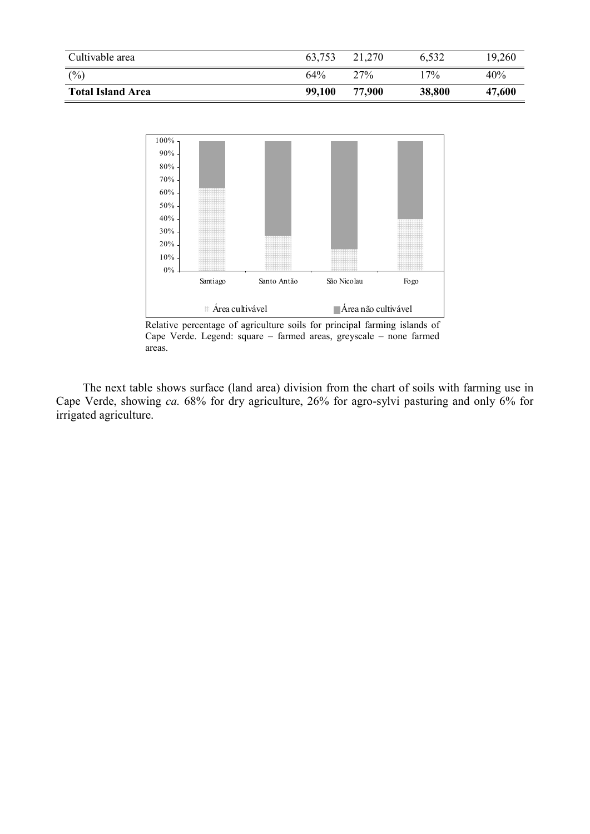| Cultivable area          | 63,753 | 21,270 | 6,532  | 19,260 |
|--------------------------|--------|--------|--------|--------|
| (%)                      | 64%    | 27%    | $17\%$ | 40%    |
| <b>Total Island Area</b> | 99,100 | 77.900 | 38,800 | 47,600 |



Relative percentage of agriculture soils for principal farming islands of Cape Verde. Legend: square – farmed areas, greyscale – none farmed areas.

The next table shows surface (land area) division from the chart of soils with farming use in Cape Verde, showing *ca.* 68% for dry agriculture, 26% for agro-sylvi pasturing and only 6% for irrigated agriculture.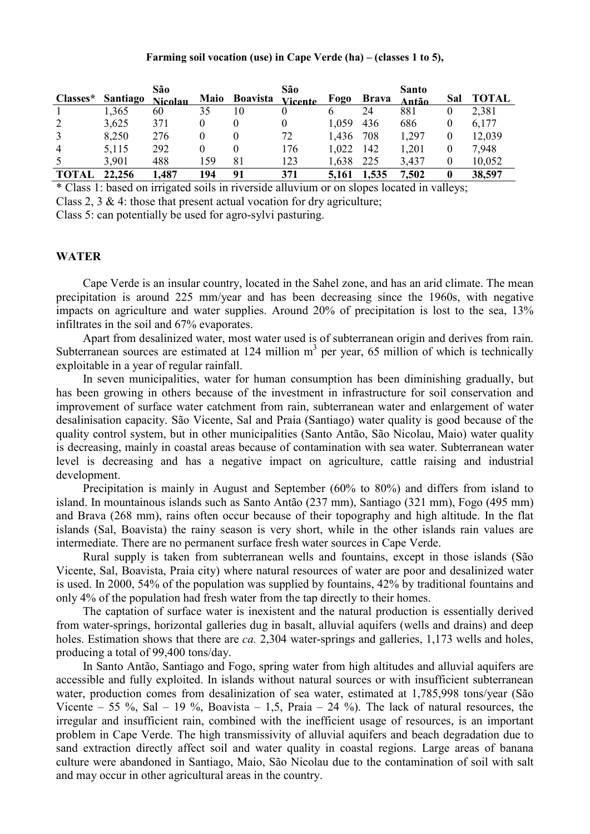### **Farming soil vocation (use) in Cape Verde (ha) – (classes 1 to 5),**

| Classes*       | Santiago | São<br><b>Nicolau</b> | Maio | <b>Boavista</b> | São<br><b>Vicente</b> | Fogo  | <b>Brava</b> | <b>Santo</b><br>Antão | Sal      | <b>TOTAL</b> |
|----------------|----------|-----------------------|------|-----------------|-----------------------|-------|--------------|-----------------------|----------|--------------|
|                | 1,365    | 60                    | 35   | 10              |                       |       | 24           | 881                   | 0        | 2,381        |
| 2              | 3,625    | 371                   | 0    | $\theta$        |                       | 1.059 | 436          | 686                   | 0        | 6,177        |
| 3              | 8,250    | 276                   |      |                 | 72                    | 1,436 | 708          | 1,297                 | 0        | 12,039       |
| $\overline{4}$ | 5,115    | 292                   | 0    |                 | 176                   | 1,022 | 142          | 1,201                 | $\theta$ | 7,948        |
| 5              | 3,901    | 488                   | 159  | 81              | 123                   | 1,638 | 225          | 3,437                 | 0        | 10,052       |
| TOTAL          | 22.256   | .487                  | 194  | 91              | 371                   | 5.161 | 1,535        | 7,502                 | 0        | 38,597       |

\* Class 1: based on irrigated soils in riverside alluvium or on slopes located in valleys;

Class 2, 3  $\&$  4: those that present actual vocation for dry agriculture;

Class 5: can potentially be used for agro-sylvi pasturing.

# **WATER**

Cape Verde is an insular country, located in the Sahel zone, and has an arid climate. The mean precipitation is around 225 mm/year and has been decreasing since the 1960s, with negative impacts on agriculture and water supplies. Around 20% of precipitation is lost to the sea, 13% infiltrates in the soil and 67% evaporates.

Apart from desalinized water, most water used is of subterranean origin and derives from rain. Subterranean sources are estimated at 124 million  $m<sup>3</sup>$  per year, 65 million of which is technically exploitable in a year of regular rainfall.

In seven municipalities, water for human consumption has been diminishing gradually, but has been growing in others because of the investment in infrastructure for soil conservation and improvement of surface water catchment from rain, subterranean water and enlargement of water desalinisation capacity. São Vicente, Sal and Praia (Santiago) water quality is good because of the quality control system, but in other municipalities (Santo Antão, São Nicolau, Maio) water quality is decreasing, mainly in coastal areas because of contamination with sea water. Subterranean water level is decreasing and has a negative impact on agriculture, cattle raising and industrial development.

Precipitation is mainly in August and September (60% to 80%) and differs from island to island. In mountainous islands such as Santo Antão (237 mm), Santiago (321 mm), Fogo (495 mm) and Brava (268 mm), rains often occur because of their topography and high altitude. In the flat islands (Sal, Boavista) the rainy season is very short, while in the other islands rain values are intermediate. There are no permanent surface fresh water sources in Cape Verde.

Rural supply is taken from subterranean wells and fountains, except in those islands (São Vicente, Sal, Boavista, Praia city) where natural resources of water are poor and desalinized water is used. In 2000, 54% of the population was supplied by fountains, 42% by traditional fountains and only 4% of the population had fresh water from the tap directly to their homes.

The captation of surface water is inexistent and the natural production is essentially derived from water-springs, horizontal galleries dug in basalt, alluvial aquifers (wells and drains) and deep holes. Estimation shows that there are *ca.* 2,304 water-springs and galleries, 1,173 wells and holes, producing a total of 99,400 tons/day.

In Santo Antão, Santiago and Fogo, spring water from high altitudes and alluvial aquifers are accessible and fully exploited. In islands without natural sources or with insufficient subterranean water, production comes from desalinization of sea water, estimated at 1,785,998 tons/year (São Vicente – 55 %, Sal – 19 %, Boavista – 1,5, Praia – 24 %). The lack of natural resources, the irregular and insufficient rain, combined with the inefficient usage of resources, is an important problem in Cape Verde. The high transmissivity of alluvial aquifers and beach degradation due to sand extraction directly affect soil and water quality in coastal regions. Large areas of banana culture were abandoned in Santiago, Maio, São Nicolau due to the contamination of soil with salt and may occur in other agricultural areas in the country.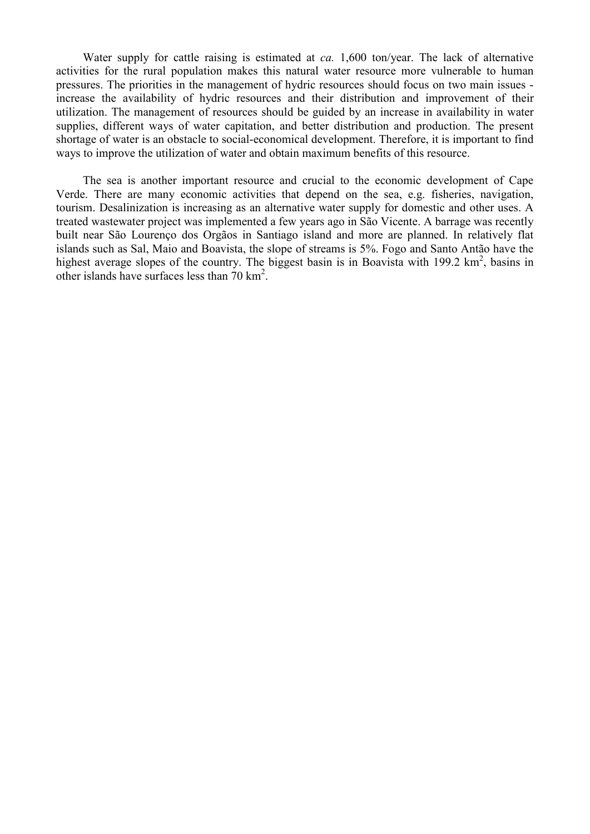Water supply for cattle raising is estimated at *ca.* 1,600 ton/year. The lack of alternative activities for the rural population makes this natural water resource more vulnerable to human pressures. The priorities in the management of hydric resources should focus on two main issues increase the availability of hydric resources and their distribution and improvement of their utilization. The management of resources should be guided by an increase in availability in water supplies, different ways of water capitation, and better distribution and production. The present shortage of water is an obstacle to social-economical development. Therefore, it is important to find ways to improve the utilization of water and obtain maximum benefits of this resource.

The sea is another important resource and crucial to the economic development of Cape Verde. There are many economic activities that depend on the sea, e.g. fisheries, navigation, tourism. Desalinization is increasing as an alternative water supply for domestic and other uses. A treated wastewater project was implemented a few years ago in São Vicente. A barrage was recently built near São Lourenço dos Orgãos in Santiago island and more are planned. In relatively flat islands such as Sal, Maio and Boavista, the slope of streams is 5%. Fogo and Santo Antão have the highest average slopes of the country. The biggest basin is in Boavista with 199.2 km<sup>2</sup>, basins in other islands have surfaces less than  $70 \text{ km}^2$ .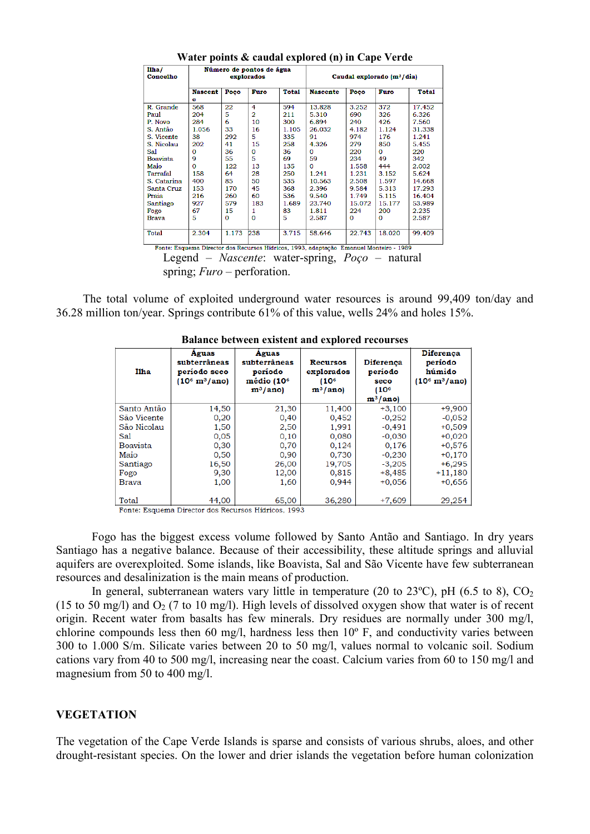| I1 <sub>ha</sub> /<br>Número de pontos de água                                         |                     |              |                |              |                                                 |        |        |              |  |
|----------------------------------------------------------------------------------------|---------------------|--------------|----------------|--------------|-------------------------------------------------|--------|--------|--------------|--|
| Concelho                                                                               | explorados          |              |                |              | Caudal explorado (m <sup>3</sup> /dia)          |        |        |              |  |
|                                                                                        | <b>Nascent</b><br>е | Poço         | Furo           | <b>Total</b> | <b>Nascente</b>                                 | Poço   | Furo   | <b>Total</b> |  |
| R. Grande                                                                              | 568                 | 22           | 4              | 594          | 13.828                                          | 3.252  | 372    | 17.452       |  |
| Paul                                                                                   | 204                 | 5            | $\overline{2}$ | 211          | 5.310                                           | 690    | 326    | 6.326        |  |
| P. Novo                                                                                | 284                 | 6            | 10             | 300          | 6.894                                           | 240    | 426    | 7.560        |  |
| S. Antão                                                                               | 1.056               | 33           | 16             | 1.105        | 26.032                                          | 4.182  | 1.124  | 31.338       |  |
| S. Vicente                                                                             | 38                  | 292          | 5.             | 335          | 91                                              | 974    | 176    | 1.241        |  |
| S. Nicolau                                                                             | 202                 | 41           | 15             | 258          | 4.326                                           | 279    | 850    | 5.455        |  |
| Sal.                                                                                   | 0                   | 36           | $\Omega$       | 36           | $\Omega$                                        | 220    | O      | 220          |  |
| <b>Boavista</b>                                                                        | 9                   | 55           | 5              | 69           | 59                                              | 234    | 49     | 342          |  |
| Maio                                                                                   | $\Omega$            | 122          | 13             | 135          | $\Omega$                                        | 1.558  | 444    | 2.002        |  |
| Tarrafal                                                                               | 158                 | 64           | 28             | 250          | 1.241                                           | 1.231  | 3.152  | 5.624        |  |
| S. Catarina                                                                            | 400                 | 85           | 50             | 535          | 10.563                                          | 2.508  | 1.597  | 14.668       |  |
| Santa Cruz                                                                             | 153                 | 170          | 45             | 368          | 2.396                                           | 9.584  | 5.313  | 17.293       |  |
| Praia                                                                                  | 216                 | 260          | 60             | 536          | 9.540                                           | 1.749  | 5.115  | 16.404       |  |
| Santiago                                                                               | 927                 | 579          | 183            | 1.689        | 23.740                                          | 15.072 | 15.177 | 53.989       |  |
| Fogo                                                                                   | 67                  | 15           | 1              | 83           | 1.811                                           | 224    | 200    | 2.235        |  |
| <b>Brava</b>                                                                           | 5                   | $\mathbf{0}$ | $\Omega$       | 5            | 2.587                                           | 0      | 0      | 2.587        |  |
|                                                                                        |                     |              |                |              |                                                 |        |        |              |  |
| <b>Total</b>                                                                           | 2.304               | 1.173        | 238            | 3.715        | 58.646                                          | 22.743 | 18.020 | 99.409       |  |
|                                                                                        |                     |              |                |              |                                                 |        |        |              |  |
| Fonte: Esquema Director dos Recursos Hídricos, 1993, adaptação Emanuel Monteiro - 1989 |                     |              |                |              |                                                 |        |        |              |  |
|                                                                                        |                     |              |                |              | Legend – Nascente: water-spring, Poço – natural |        |        |              |  |
|                                                                                        |                     |              |                |              |                                                 |        |        |              |  |

**Water points & caudal explored (n) in Cape Verde** 

spring; *Furo* – perforation.

The total volume of exploited underground water resources is around 99,409 ton/day and 36.28 million ton/year. Springs contribute 61% of this value, wells 24% and holes 15%.

| <b>Ilha</b>     | Aguas<br>subterrâneas<br>período seco<br>$(10^6 \text{ m}^3/\text{ano})$ | Aguas<br>subterrâneas<br>período<br>médio (10 <sup>6</sup><br>$m^3/ano$ | Recursos<br>explorados<br>(10 <sup>6</sup> )<br>$m^3/ano$ | <b>Diferenca</b><br>período<br>seco<br>(10 <sup>6</sup> )<br>$m^3/ano$ | <b>Diferenca</b><br>período<br>húmido<br>$(10^6 \text{ m}^3/\text{ano})$ |
|-----------------|--------------------------------------------------------------------------|-------------------------------------------------------------------------|-----------------------------------------------------------|------------------------------------------------------------------------|--------------------------------------------------------------------------|
| Santo Antão     | 14,50                                                                    | 21,30                                                                   | 11,400                                                    | $+3,100$                                                               | $+9,900$                                                                 |
| São Vicente     | 0,20                                                                     | 0,40                                                                    | 0,452                                                     | $-0,252$                                                               | $-0,052$                                                                 |
| São Nicolau     | 1,50                                                                     | 2,50                                                                    | 1,991                                                     | $-0,491$                                                               | $+0,509$                                                                 |
| Sal             | 0,05                                                                     | 0,10                                                                    | 0,080                                                     | $-0,030$                                                               | $+0,020$                                                                 |
| <b>Boavista</b> | 0,30                                                                     | 0,70                                                                    | 0,124                                                     | 0,176                                                                  | $+0,576$                                                                 |
| Maio            | 0,50                                                                     | 0,90                                                                    | 0,730                                                     | $-0,230$                                                               | $+0,170$                                                                 |
| Santiago        | 16,50                                                                    | 26,00                                                                   | 19,705                                                    | $-3,205$                                                               | $+6,295$                                                                 |
| Fogo            | 9,30                                                                     | 12,00                                                                   | 0,815                                                     | $+8,485$                                                               | $+11,180$                                                                |
| Brava           | 1,00                                                                     | 1,60                                                                    | 0,944                                                     | $+0.056$                                                               | $+0,656$                                                                 |
| Total           | 44,00                                                                    | 65,00                                                                   | 36,280                                                    | $+7,609$                                                               | 29,254                                                                   |

#### **Balance between existent and explored recourses**

Fonte: Esquema Director dos Recursos Hídricos, 1993

Fogo has the biggest excess volume followed by Santo Antão and Santiago. In dry years Santiago has a negative balance. Because of their accessibility, these altitude springs and alluvial aquifers are overexploited. Some islands, like Boavista, Sal and São Vicente have few subterranean resources and desalinization is the main means of production.

In general, subterranean waters vary little in temperature (20 to 23 $^{\circ}$ C), pH (6.5 to 8), CO<sub>2</sub> (15 to 50 mg/l) and  $O_2$  (7 to 10 mg/l). High levels of dissolved oxygen show that water is of recent origin. Recent water from basalts has few minerals. Dry residues are normally under 300 mg/l, chlorine compounds less then 60 mg/l, hardness less then 10º F, and conductivity varies between 300 to 1.000 S/m. Silicate varies between 20 to 50 mg/l, values normal to volcanic soil. Sodium cations vary from 40 to 500 mg/l, increasing near the coast. Calcium varies from 60 to 150 mg/l and magnesium from 50 to 400 mg/l.

### **VEGETATION**

The vegetation of the Cape Verde Islands is sparse and consists of various shrubs, aloes, and other drought-resistant species. On the lower and drier islands the vegetation before human colonization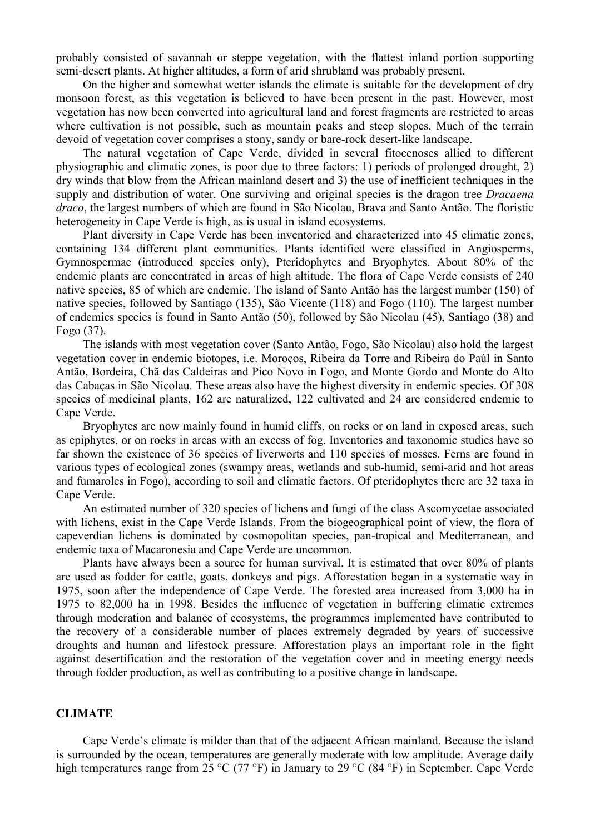probably consisted of savannah or steppe vegetation, with the flattest inland portion supporting semi-desert plants. At higher altitudes, a form of arid shrubland was probably present.

On the higher and somewhat wetter islands the climate is suitable for the development of dry monsoon forest, as this vegetation is believed to have been present in the past. However, most vegetation has now been converted into agricultural land and forest fragments are restricted to areas where cultivation is not possible, such as mountain peaks and steep slopes. Much of the terrain devoid of vegetation cover comprises a stony, sandy or bare-rock desert-like landscape.

The natural vegetation of Cape Verde, divided in several fitocenoses allied to different physiographic and climatic zones, is poor due to three factors: 1) periods of prolonged drought, 2) dry winds that blow from the African mainland desert and 3) the use of inefficient techniques in the supply and distribution of water. One surviving and original species is the dragon tree *Dracaena draco*, the largest numbers of which are found in São Nicolau, Brava and Santo Antão. The floristic heterogeneity in Cape Verde is high, as is usual in island ecosystems.

Plant diversity in Cape Verde has been inventoried and characterized into 45 climatic zones, containing 134 different plant communities. Plants identified were classified in Angiosperms, Gymnospermae (introduced species only), Pteridophytes and Bryophytes. About 80% of the endemic plants are concentrated in areas of high altitude. The flora of Cape Verde consists of 240 native species, 85 of which are endemic. The island of Santo Antão has the largest number (150) of native species, followed by Santiago (135), São Vicente (118) and Fogo (110). The largest number of endemics species is found in Santo Antão (50), followed by São Nicolau (45), Santiago (38) and Fogo (37).

The islands with most vegetation cover (Santo Antão, Fogo, São Nicolau) also hold the largest vegetation cover in endemic biotopes, i.e. Moroços, Ribeira da Torre and Ribeira do Paúl in Santo Antão, Bordeira, Chã das Caldeiras and Pico Novo in Fogo, and Monte Gordo and Monte do Alto das Cabaças in São Nicolau. These areas also have the highest diversity in endemic species. Of 308 species of medicinal plants, 162 are naturalized, 122 cultivated and 24 are considered endemic to Cape Verde.

Bryophytes are now mainly found in humid cliffs, on rocks or on land in exposed areas, such as epiphytes, or on rocks in areas with an excess of fog. Inventories and taxonomic studies have so far shown the existence of 36 species of liverworts and 110 species of mosses. Ferns are found in various types of ecological zones (swampy areas, wetlands and sub-humid, semi-arid and hot areas and fumaroles in Fogo), according to soil and climatic factors. Of pteridophytes there are 32 taxa in Cape Verde.

An estimated number of 320 species of lichens and fungi of the class Ascomycetae associated with lichens, exist in the Cape Verde Islands. From the biogeographical point of view, the flora of capeverdian lichens is dominated by cosmopolitan species, pan-tropical and Mediterranean, and endemic taxa of Macaronesia and Cape Verde are uncommon.

Plants have always been a source for human survival. It is estimated that over 80% of plants are used as fodder for cattle, goats, donkeys and pigs. Afforestation began in a systematic way in 1975, soon after the independence of Cape Verde. The forested area increased from 3,000 ha in 1975 to 82,000 ha in 1998. Besides the influence of vegetation in buffering climatic extremes through moderation and balance of ecosystems, the programmes implemented have contributed to the recovery of a considerable number of places extremely degraded by years of successive droughts and human and lifestock pressure. Afforestation plays an important role in the fight against desertification and the restoration of the vegetation cover and in meeting energy needs through fodder production, as well as contributing to a positive change in landscape.

# **CLIMATE**

Cape Verde's climate is milder than that of the adjacent African mainland. Because the island is surrounded by the ocean, temperatures are generally moderate with low amplitude. Average daily high temperatures range from 25 °C (77 °F) in January to 29 °C (84 °F) in September. Cape Verde